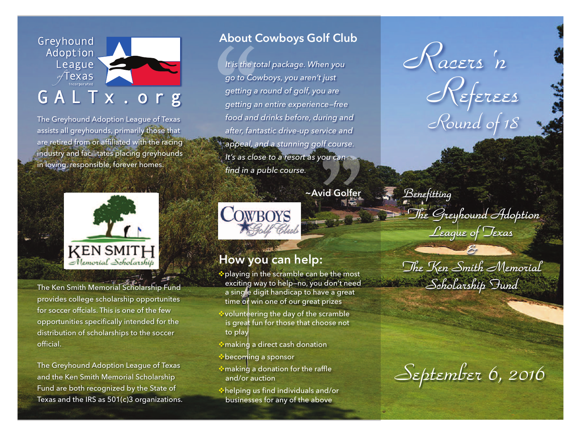Greyhound Adoption League  $\sqrt{T}$ exas

# GALTx.org

The Greyhound Adoption League of Texas assists all greyhounds, primarily those that are retired from or affiliated with the racing industry and facilitates placing greyhounds in loving, responsible, forever homes.



The Ken Smith Memorial Scholarship Fund provides college scholarship opportunites for soccer offcials. This is one of the few opportunities specifically intended for the distribution of scholarships to the soccer official.

The Greyhound Adoption League of Texas and the Ken Smith Memorial Scholarship Fund are both recognized by the State of Texas and the IRS as 501(c)3 organizations.

### **About Cowboys Golf Club**

**ADOUT C**<br>
It is the to<br>
go to Cov<br>
getting a<br>
getting and **"** *It is the total package. When you go to Cowboys, you aren't just getting a round of golf, you are getting an entire experience—free food and drinks before, during and after, fantastic drive-up service and appeal, and a stunning golf course. It's as close to a resort as you can find in a publc course.*

**~Avid Golfer**



### **How you can help:**

\* playing in the scramble can be the most exciting way to help—no, you don't need a single digit handicap to have a great time or win one of our great prizes

- volunteering the day of the scramble is great fun for those that choose not to play
- $\ast$  making a direct cash donation
- $\bullet$  becoming a sponsor
- $*$  making a donation for the raffle and/or auction
- vhelping us find individuals and/or businesses for any of the above

*Racers ' n Referees Round of 18*

Benefitting

The Greyhound Adoption League of Texas

The Ken Smith Memorial - Scholarship Fund